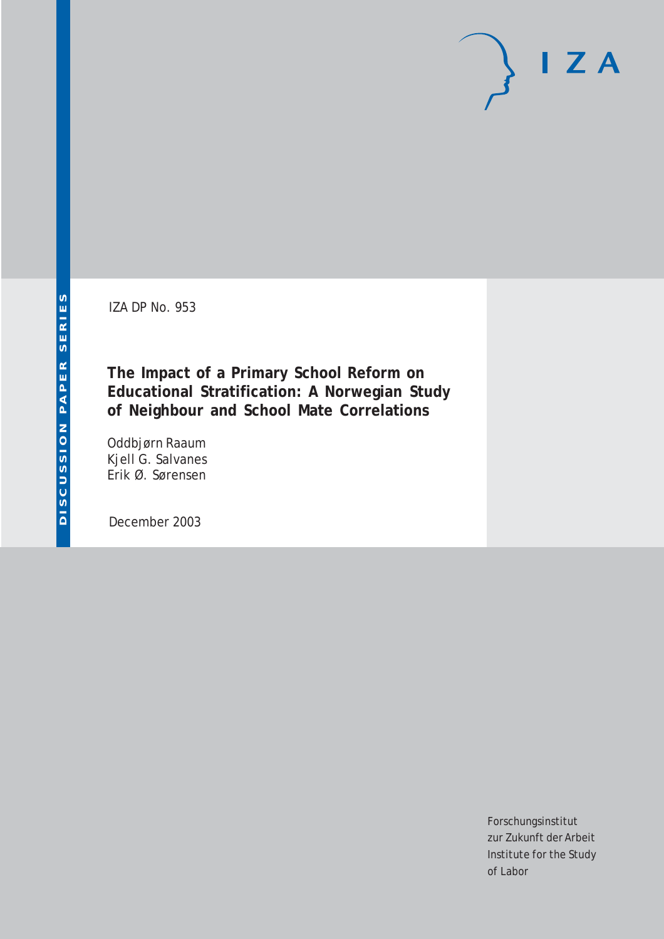IZA DP No. 953

**The Impact of a Primary School Reform on Educational Stratification: A Norwegian Study of Neighbour and School Mate Correlations**

Oddbjørn Raaum Kjell G. Salvanes Erik Ø. Sørensen

December 2003

Forschungsinstitut zur Zukunft der Arbeit Institute for the Study of Labor

 $I Z A$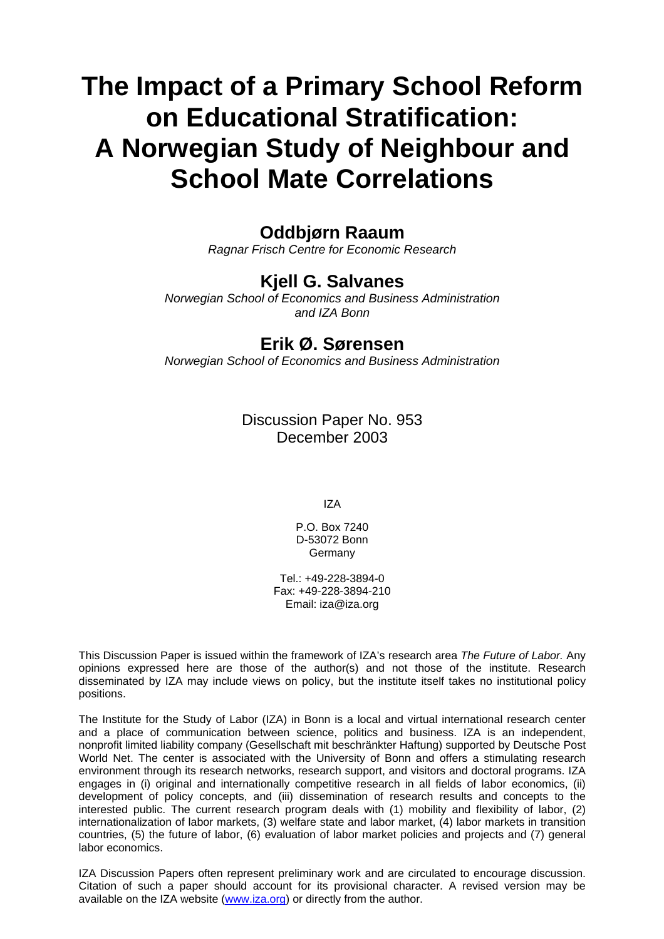# **The Impact of a Primary School Reform on Educational Stratification: A Norwegian Study of Neighbour and School Mate Correlations**

# **Oddbjørn Raaum**

*Ragnar Frisch Centre for Economic Research* 

# **Kjell G. Salvanes**

*Norwegian School of Economics and Business Administration and IZA Bonn* 

# **Erik Ø. Sørensen**

*Norwegian School of Economics and Business Administration* 

Discussion Paper No. 953 December 2003

IZA

P.O. Box 7240 D-53072 Bonn Germany

Tel.: +49-228-3894-0 Fax: +49-228-3894-210 Email: [iza@iza.org](mailto:iza@iza.org)

This Discussion Paper is issued within the framework of IZA's research area *The Future of Labor.* Any opinions expressed here are those of the author(s) and not those of the institute. Research disseminated by IZA may include views on policy, but the institute itself takes no institutional policy positions.

The Institute for the Study of Labor (IZA) in Bonn is a local and virtual international research center and a place of communication between science, politics and business. IZA is an independent, nonprofit limited liability company (Gesellschaft mit beschränkter Haftung) supported by Deutsche Post World Net. The center is associated with the University of Bonn and offers a stimulating research environment through its research networks, research support, and visitors and doctoral programs. IZA engages in (i) original and internationally competitive research in all fields of labor economics, (ii) development of policy concepts, and (iii) dissemination of research results and concepts to the interested public. The current research program deals with (1) mobility and flexibility of labor, (2) internationalization of labor markets, (3) welfare state and labor market, (4) labor markets in transition countries, (5) the future of labor, (6) evaluation of labor market policies and projects and (7) general labor economics.

IZA Discussion Papers often represent preliminary work and are circulated to encourage discussion. Citation of such a paper should account for its provisional character. A revised version may be available on the IZA website ([www.iza.org](http://www.iza.org/)) or directly from the author.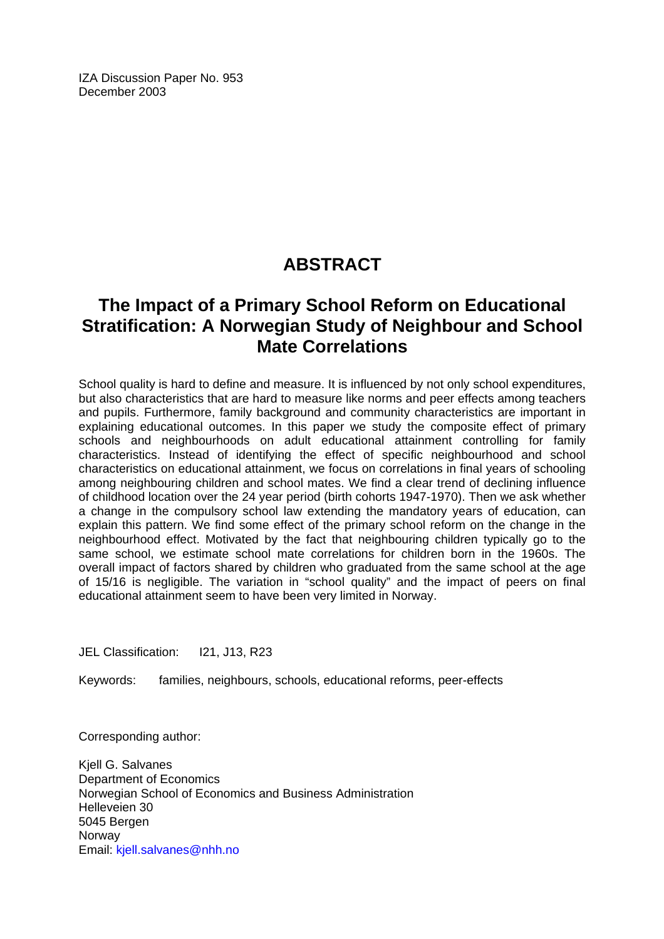IZA Discussion Paper No. 953 December 2003

# **ABSTRACT**

# **The Impact of a Primary School Reform on Educational Stratification: A Norwegian Study of Neighbour and School Mate Correlations**

School quality is hard to define and measure. It is influenced by not only school expenditures, but also characteristics that are hard to measure like norms and peer effects among teachers and pupils. Furthermore, family background and community characteristics are important in explaining educational outcomes. In this paper we study the composite effect of primary schools and neighbourhoods on adult educational attainment controlling for family characteristics. Instead of identifying the effect of specific neighbourhood and school characteristics on educational attainment, we focus on correlations in final years of schooling among neighbouring children and school mates. We find a clear trend of declining influence of childhood location over the 24 year period (birth cohorts 1947-1970). Then we ask whether a change in the compulsory school law extending the mandatory years of education, can explain this pattern. We find some effect of the primary school reform on the change in the neighbourhood effect. Motivated by the fact that neighbouring children typically go to the same school, we estimate school mate correlations for children born in the 1960s. The overall impact of factors shared by children who graduated from the same school at the age of 15/16 is negligible. The variation in "school quality" and the impact of peers on final educational attainment seem to have been very limited in Norway.

JEL Classification: I21, J13, R23

Keywords: families, neighbours, schools, educational reforms, peer-effects

Corresponding author:

Kjell G. Salvanes Department of Economics Norwegian School of Economics and Business Administration Helleveien 30 5045 Bergen **Norway** Email: [kjell.salvanes@nhh.no](mailto:kjell.salvanes@nhh.no)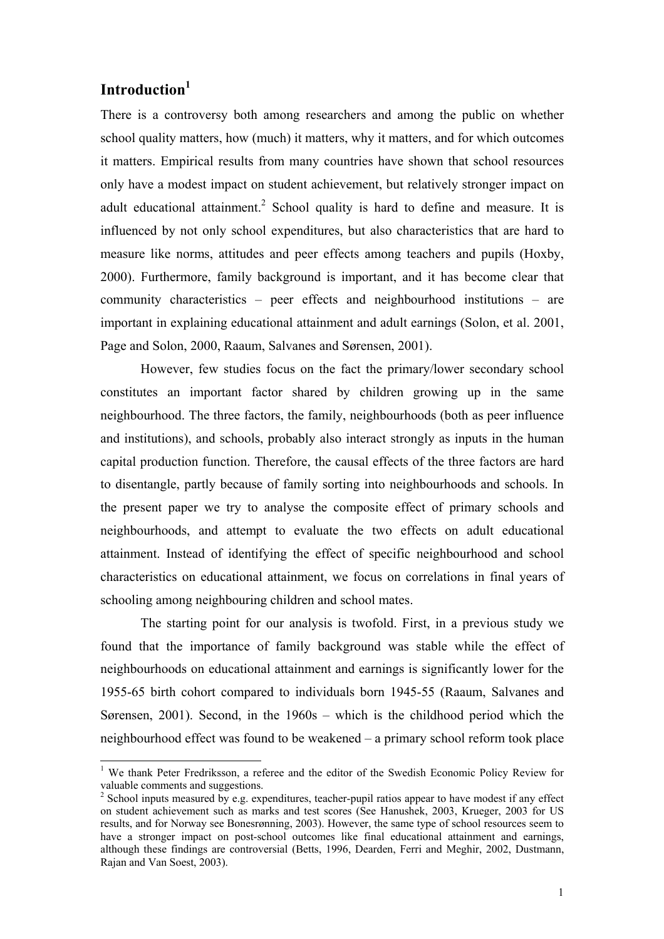# **Introduction1**

 $\overline{\phantom{a}}$ 

There is a controversy both among researchers and among the public on whether school quality matters, how (much) it matters, why it matters, and for which outcomes it matters. Empirical results from many countries have shown that school resources only have a modest impact on student achievement, but relatively stronger impact on adult educational attainment.<sup>2</sup> School quality is hard to define and measure. It is influenced by not only school expenditures, but also characteristics that are hard to measure like norms, attitudes and peer effects among teachers and pupils (Hoxby, 2000). Furthermore, family background is important, and it has become clear that community characteristics – peer effects and neighbourhood institutions – are important in explaining educational attainment and adult earnings (Solon, et al. 2001, Page and Solon, 2000, Raaum, Salvanes and Sørensen, 2001).

However, few studies focus on the fact the primary/lower secondary school constitutes an important factor shared by children growing up in the same neighbourhood. The three factors, the family, neighbourhoods (both as peer influence and institutions), and schools, probably also interact strongly as inputs in the human capital production function. Therefore, the causal effects of the three factors are hard to disentangle, partly because of family sorting into neighbourhoods and schools. In the present paper we try to analyse the composite effect of primary schools and neighbourhoods, and attempt to evaluate the two effects on adult educational attainment. Instead of identifying the effect of specific neighbourhood and school characteristics on educational attainment, we focus on correlations in final years of schooling among neighbouring children and school mates.

The starting point for our analysis is twofold. First, in a previous study we found that the importance of family background was stable while the effect of neighbourhoods on educational attainment and earnings is significantly lower for the 1955-65 birth cohort compared to individuals born 1945-55 (Raaum, Salvanes and Sørensen, 2001). Second, in the 1960s – which is the childhood period which the neighbourhood effect was found to be weakened – a primary school reform took place

<sup>&</sup>lt;sup>1</sup> We thank Peter Fredriksson, a referee and the editor of the Swedish Economic Policy Review for valuable comments and suggestions. 2 School inputs measured by e.g. expenditures, teacher-pupil ratios appear to have modest if any effect

on student achievement such as marks and test scores (See Hanushek, 2003, Krueger, 2003 for US results, and for Norway see Bonesrønning, 2003). However, the same type of school resources seem to have a stronger impact on post-school outcomes like final educational attainment and earnings, although these findings are controversial (Betts, 1996, Dearden, Ferri and Meghir, 2002, Dustmann, Rajan and Van Soest, 2003).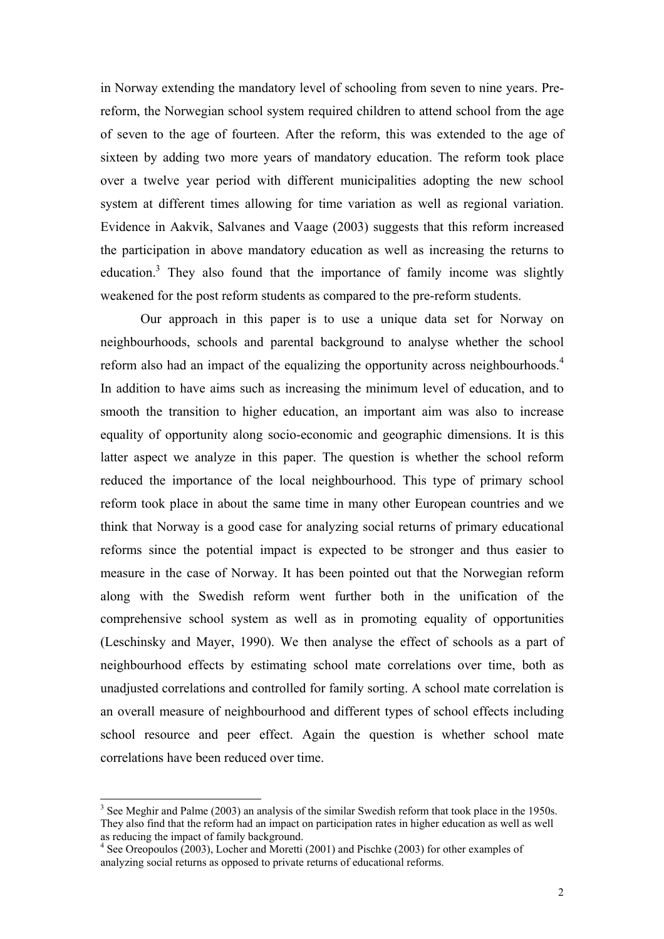in Norway extending the mandatory level of schooling from seven to nine years. Prereform, the Norwegian school system required children to attend school from the age of seven to the age of fourteen. After the reform, this was extended to the age of sixteen by adding two more years of mandatory education. The reform took place over a twelve year period with different municipalities adopting the new school system at different times allowing for time variation as well as regional variation. Evidence in Aakvik, Salvanes and Vaage (2003) suggests that this reform increased the participation in above mandatory education as well as increasing the returns to education.<sup>3</sup> They also found that the importance of family income was slightly weakened for the post reform students as compared to the pre-reform students.

Our approach in this paper is to use a unique data set for Norway on neighbourhoods, schools and parental background to analyse whether the school reform also had an impact of the equalizing the opportunity across neighbourhoods.<sup>4</sup> In addition to have aims such as increasing the minimum level of education, and to smooth the transition to higher education, an important aim was also to increase equality of opportunity along socio-economic and geographic dimensions. It is this latter aspect we analyze in this paper. The question is whether the school reform reduced the importance of the local neighbourhood. This type of primary school reform took place in about the same time in many other European countries and we think that Norway is a good case for analyzing social returns of primary educational reforms since the potential impact is expected to be stronger and thus easier to measure in the case of Norway. It has been pointed out that the Norwegian reform along with the Swedish reform went further both in the unification of the comprehensive school system as well as in promoting equality of opportunities (Leschinsky and Mayer, 1990). We then analyse the effect of schools as a part of neighbourhood effects by estimating school mate correlations over time, both as unadjusted correlations and controlled for family sorting. A school mate correlation is an overall measure of neighbourhood and different types of school effects including school resource and peer effect. Again the question is whether school mate correlations have been reduced over time.

 $\overline{\phantom{a}}$ 

 $3$  See Meghir and Palme (2003) an analysis of the similar Swedish reform that took place in the 1950s. They also find that the reform had an impact on participation rates in higher education as well as well as reducing the impact of family background.

<sup>&</sup>lt;sup>4</sup> See Oreopoulos (2003), Locher and Moretti (2001) and Pischke (2003) for other examples of analyzing social returns as opposed to private returns of educational reforms.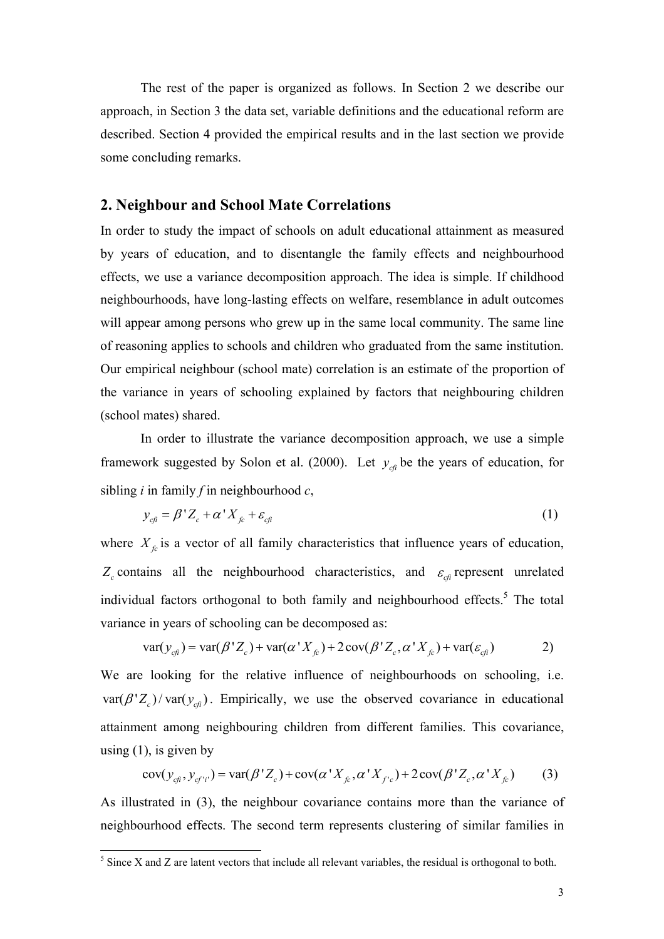The rest of the paper is organized as follows. In Section 2 we describe our approach, in Section 3 the data set, variable definitions and the educational reform are described. Section 4 provided the empirical results and in the last section we provide some concluding remarks.

## **2. Neighbour and School Mate Correlations**

In order to study the impact of schools on adult educational attainment as measured by years of education, and to disentangle the family effects and neighbourhood effects, we use a variance decomposition approach. The idea is simple. If childhood neighbourhoods, have long-lasting effects on welfare, resemblance in adult outcomes will appear among persons who grew up in the same local community. The same line of reasoning applies to schools and children who graduated from the same institution. Our empirical neighbour (school mate) correlation is an estimate of the proportion of the variance in years of schooling explained by factors that neighbouring children (school mates) shared.

In order to illustrate the variance decomposition approach, we use a simple framework suggested by Solon et al. (2000). Let  $y_{\text{cf}}$  be the years of education, for sibling *i* in family *f* in neighbourhood *c*,

$$
y_{cfi} = \beta' Z_c + \alpha' X_{fc} + \varepsilon_{cf}
$$
 (1)

where  $X<sub>f</sub>$  is a vector of all family characteristics that influence years of education,  $Z_c$  contains all the neighbourhood characteristics, and  $\varepsilon_{c\hat{i}}$  represent unrelated individual factors orthogonal to both family and neighbourhood effects.<sup>5</sup> The total variance in years of schooling can be decomposed as:

$$
var(y_{cfi}) = var(\beta' Z_c) + var(\alpha' X_{fc}) + 2 cov(\beta' Z_c, \alpha' X_{fc}) + var(\varepsilon_{cfi})
$$
 2)

We are looking for the relative influence of neighbourhoods on schooling, i.e.  $var(\beta' Z_c)/var(y_{c\theta})$ . Empirically, we use the observed covariance in educational attainment among neighbouring children from different families. This covariance, using  $(1)$ , is given by

$$
cov(y_{cf_1}, y_{cf'i'}) = var(\beta'Z_c) + cov(\alpha'X_{fc}, \alpha'X_{fc}) + 2cov(\beta'Z_c, \alpha'X_{fc})
$$
 (3)

As illustrated in (3), the neighbour covariance contains more than the variance of neighbourhood effects. The second term represents clustering of similar families in

l

 $<sup>5</sup>$  Since X and Z are latent vectors that include all relevant variables, the residual is orthogonal to both.</sup>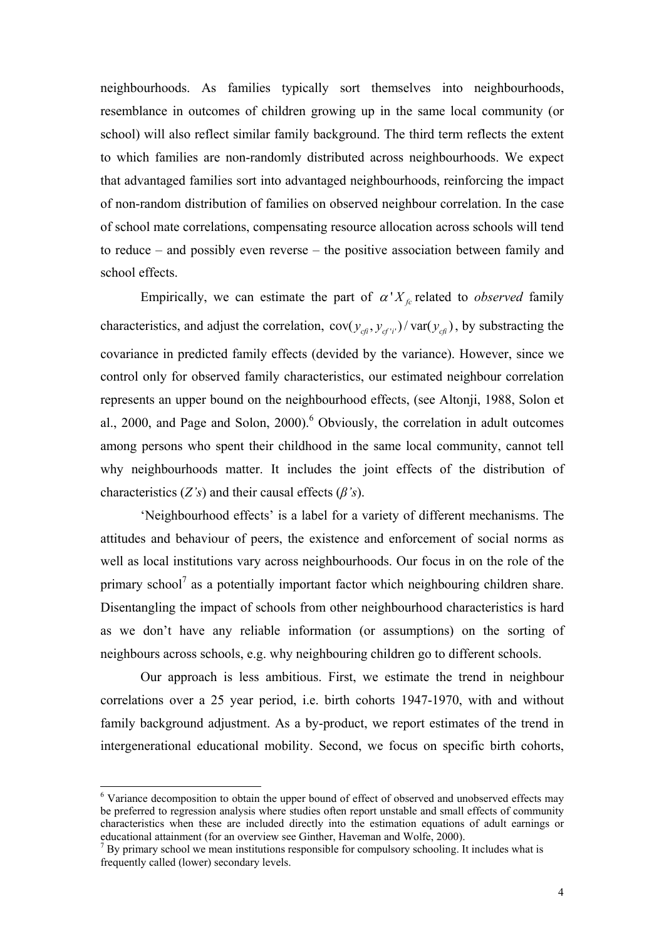neighbourhoods. As families typically sort themselves into neighbourhoods, resemblance in outcomes of children growing up in the same local community (or school) will also reflect similar family background. The third term reflects the extent to which families are non-randomly distributed across neighbourhoods. We expect that advantaged families sort into advantaged neighbourhoods, reinforcing the impact of non-random distribution of families on observed neighbour correlation. In the case of school mate correlations, compensating resource allocation across schools will tend to reduce – and possibly even reverse – the positive association between family and school effects.

Empirically, we can estimate the part of  $\alpha' X_{f_c}$  related to *observed* family characteristics, and adjust the correlation,  $cov(y_{cft}, y_{cf't}) / var(y_{cft})$ , by substracting the covariance in predicted family effects (devided by the variance). However, since we control only for observed family characteristics, our estimated neighbour correlation represents an upper bound on the neighbourhood effects, (see Altonji, 1988, Solon et al., 2000, and Page and Solon, 2000).<sup>6</sup> Obviously, the correlation in adult outcomes among persons who spent their childhood in the same local community, cannot tell why neighbourhoods matter. It includes the joint effects of the distribution of characteristics (*Z's*) and their causal effects (*β's*).

 'Neighbourhood effects' is a label for a variety of different mechanisms. The attitudes and behaviour of peers, the existence and enforcement of social norms as well as local institutions vary across neighbourhoods. Our focus in on the role of the primary school<sup>7</sup> as a potentially important factor which neighbouring children share. Disentangling the impact of schools from other neighbourhood characteristics is hard as we don't have any reliable information (or assumptions) on the sorting of neighbours across schools, e.g. why neighbouring children go to different schools.

 Our approach is less ambitious. First, we estimate the trend in neighbour correlations over a 25 year period, i.e. birth cohorts 1947-1970, with and without family background adjustment. As a by-product, we report estimates of the trend in intergenerational educational mobility. Second, we focus on specific birth cohorts,

 $\overline{\phantom{a}}$ 

<sup>&</sup>lt;sup>6</sup> Variance decomposition to obtain the upper bound of effect of observed and unobserved effects may be preferred to regression analysis where studies often report unstable and small effects of community characteristics when these are included directly into the estimation equations of adult earnings or educational attainment (for an overview see Ginther, Haveman and Wolfe, 2000).

<sup>7</sup> By primary school we mean institutions responsible for compulsory schooling. It includes what is frequently called (lower) secondary levels.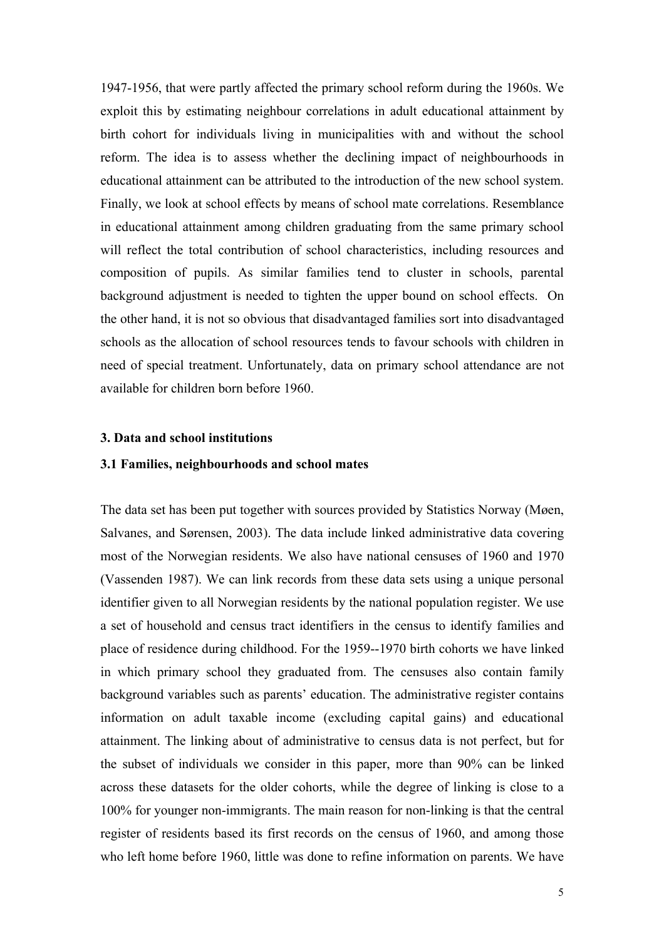1947-1956, that were partly affected the primary school reform during the 1960s. We exploit this by estimating neighbour correlations in adult educational attainment by birth cohort for individuals living in municipalities with and without the school reform. The idea is to assess whether the declining impact of neighbourhoods in educational attainment can be attributed to the introduction of the new school system. Finally, we look at school effects by means of school mate correlations. Resemblance in educational attainment among children graduating from the same primary school will reflect the total contribution of school characteristics, including resources and composition of pupils. As similar families tend to cluster in schools, parental background adjustment is needed to tighten the upper bound on school effects. On the other hand, it is not so obvious that disadvantaged families sort into disadvantaged schools as the allocation of school resources tends to favour schools with children in need of special treatment. Unfortunately, data on primary school attendance are not available for children born before 1960.

## **3. Data and school institutions**

### **3.1 Families, neighbourhoods and school mates**

The data set has been put together with sources provided by Statistics Norway (Møen, Salvanes, and Sørensen, 2003). The data include linked administrative data covering most of the Norwegian residents. We also have national censuses of 1960 and 1970 (Vassenden 1987). We can link records from these data sets using a unique personal identifier given to all Norwegian residents by the national population register. We use a set of household and census tract identifiers in the census to identify families and place of residence during childhood. For the 1959--1970 birth cohorts we have linked in which primary school they graduated from. The censuses also contain family background variables such as parents' education. The administrative register contains information on adult taxable income (excluding capital gains) and educational attainment. The linking about of administrative to census data is not perfect, but for the subset of individuals we consider in this paper, more than 90% can be linked across these datasets for the older cohorts, while the degree of linking is close to a 100% for younger non-immigrants. The main reason for non-linking is that the central register of residents based its first records on the census of 1960, and among those who left home before 1960, little was done to refine information on parents. We have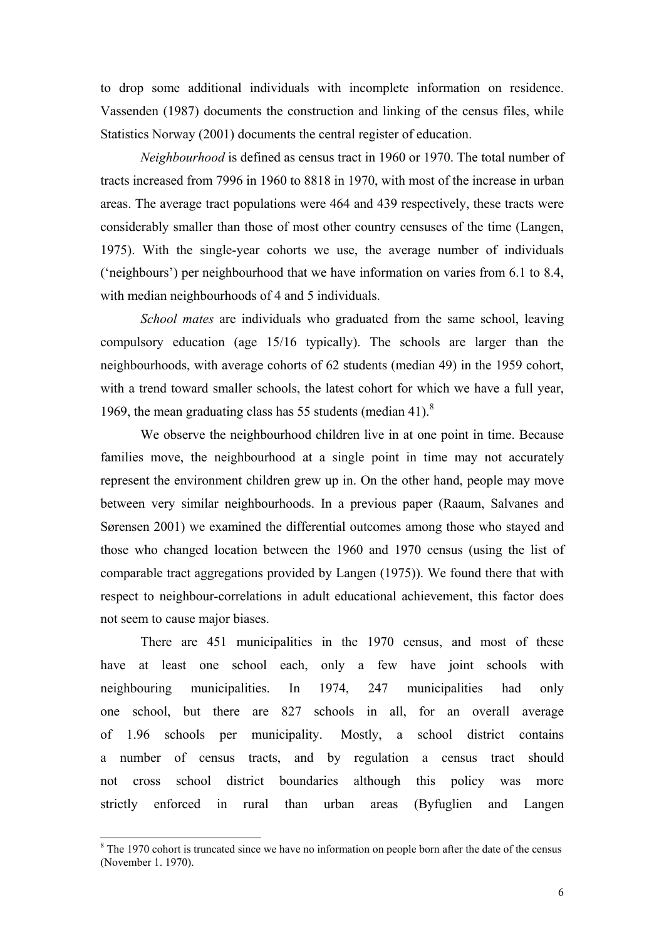to drop some additional individuals with incomplete information on residence. Vassenden (1987) documents the construction and linking of the census files, while Statistics Norway (2001) documents the central register of education.

*Neighbourhood* is defined as census tract in 1960 or 1970. The total number of tracts increased from 7996 in 1960 to 8818 in 1970, with most of the increase in urban areas. The average tract populations were 464 and 439 respectively, these tracts were considerably smaller than those of most other country censuses of the time (Langen, 1975). With the single-year cohorts we use, the average number of individuals ('neighbours') per neighbourhood that we have information on varies from 6.1 to 8.4, with median neighbourhoods of 4 and 5 individuals.

*School mates* are individuals who graduated from the same school, leaving compulsory education (age 15/16 typically). The schools are larger than the neighbourhoods, with average cohorts of 62 students (median 49) in the 1959 cohort, with a trend toward smaller schools, the latest cohort for which we have a full year, 1969, the mean graduating class has 55 students (median 41). $8$ 

We observe the neighbourhood children live in at one point in time. Because families move, the neighbourhood at a single point in time may not accurately represent the environment children grew up in. On the other hand, people may move between very similar neighbourhoods. In a previous paper (Raaum, Salvanes and Sørensen 2001) we examined the differential outcomes among those who stayed and those who changed location between the 1960 and 1970 census (using the list of comparable tract aggregations provided by Langen (1975)). We found there that with respect to neighbour-correlations in adult educational achievement, this factor does not seem to cause major biases.

There are 451 municipalities in the 1970 census, and most of these have at least one school each, only a few have joint schools with neighbouring municipalities. In 1974, 247 municipalities had only one school, but there are 827 schools in all, for an overall average of 1.96 schools per municipality. Mostly, a school district contains a number of census tracts, and by regulation a census tract should not cross school district boundaries although this policy was more strictly enforced in rural than urban areas (Byfuglien and Langen

 $\overline{\phantom{a}}$ 

 $8$  The 1970 cohort is truncated since we have no information on people born after the date of the census (November 1. 1970).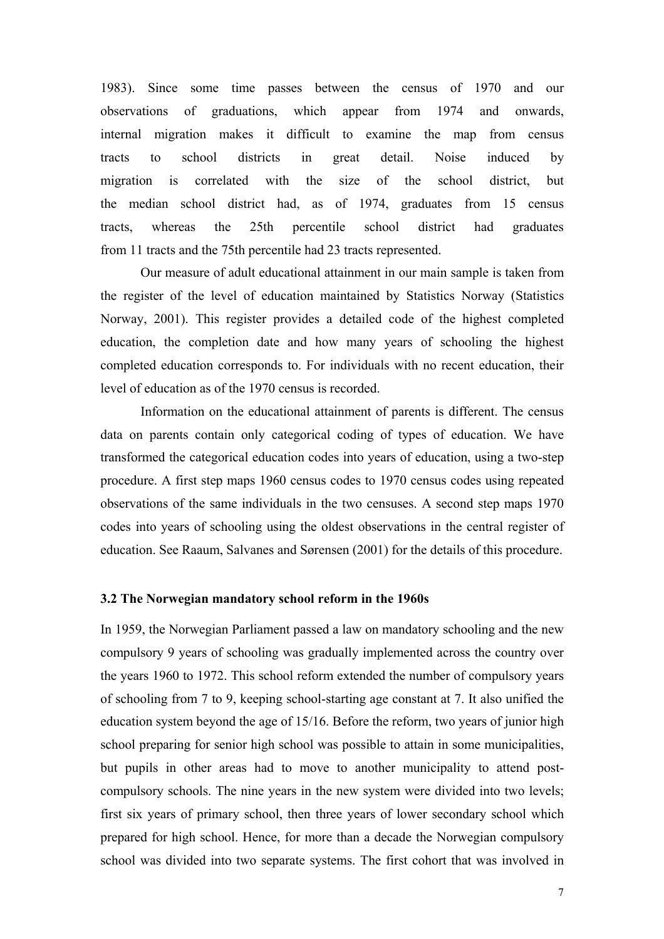1983). Since some time passes between the census of 1970 and our observations of graduations, which appear from 1974 and onwards, internal migration makes it difficult to examine the map from census tracts to school districts in great detail. Noise induced by migration is correlated with the size of the school district, but the median school district had, as of 1974, graduates from 15 census tracts, whereas the 25th percentile school district had graduates from 11 tracts and the 75th percentile had 23 tracts represented.

Our measure of adult educational attainment in our main sample is taken from the register of the level of education maintained by Statistics Norway (Statistics Norway, 2001). This register provides a detailed code of the highest completed education, the completion date and how many years of schooling the highest completed education corresponds to. For individuals with no recent education, their level of education as of the 1970 census is recorded.

Information on the educational attainment of parents is different. The census data on parents contain only categorical coding of types of education. We have transformed the categorical education codes into years of education, using a two-step procedure. A first step maps 1960 census codes to 1970 census codes using repeated observations of the same individuals in the two censuses. A second step maps 1970 codes into years of schooling using the oldest observations in the central register of education. See Raaum, Salvanes and Sørensen (2001) for the details of this procedure.

#### **3.2 The Norwegian mandatory school reform in the 1960s**

In 1959, the Norwegian Parliament passed a law on mandatory schooling and the new compulsory 9 years of schooling was gradually implemented across the country over the years 1960 to 1972. This school reform extended the number of compulsory years of schooling from 7 to 9, keeping school-starting age constant at 7. It also unified the education system beyond the age of 15/16. Before the reform, two years of junior high school preparing for senior high school was possible to attain in some municipalities, but pupils in other areas had to move to another municipality to attend postcompulsory schools. The nine years in the new system were divided into two levels; first six years of primary school, then three years of lower secondary school which prepared for high school. Hence, for more than a decade the Norwegian compulsory school was divided into two separate systems. The first cohort that was involved in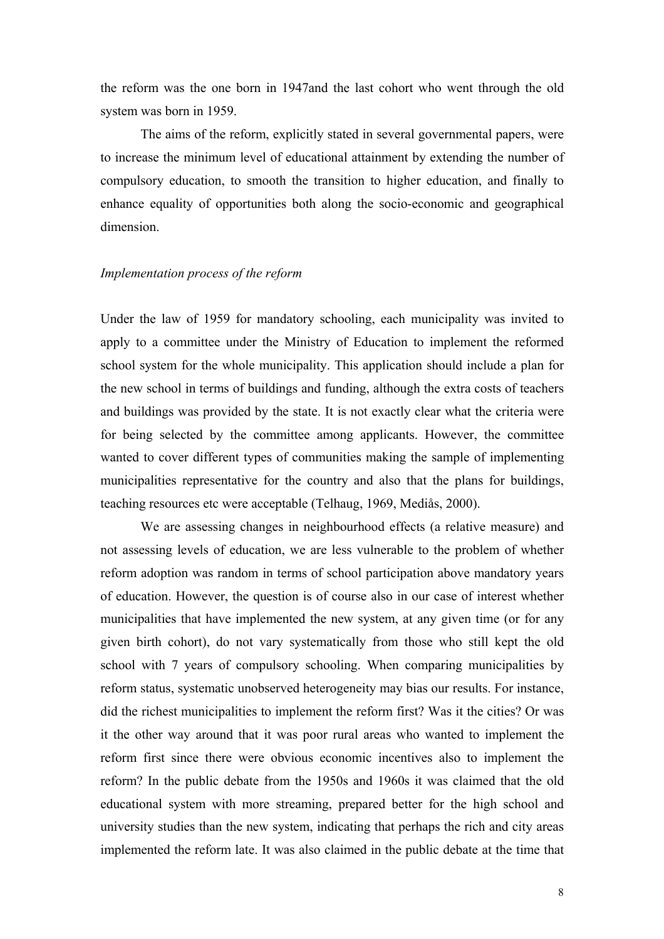the reform was the one born in 1947and the last cohort who went through the old system was born in 1959.

The aims of the reform, explicitly stated in several governmental papers, were to increase the minimum level of educational attainment by extending the number of compulsory education, to smooth the transition to higher education, and finally to enhance equality of opportunities both along the socio-economic and geographical dimension.

### *Implementation process of the reform*

Under the law of 1959 for mandatory schooling, each municipality was invited to apply to a committee under the Ministry of Education to implement the reformed school system for the whole municipality. This application should include a plan for the new school in terms of buildings and funding, although the extra costs of teachers and buildings was provided by the state. It is not exactly clear what the criteria were for being selected by the committee among applicants. However, the committee wanted to cover different types of communities making the sample of implementing municipalities representative for the country and also that the plans for buildings, teaching resources etc were acceptable (Telhaug, 1969, Mediås, 2000).

We are assessing changes in neighbourhood effects (a relative measure) and not assessing levels of education, we are less vulnerable to the problem of whether reform adoption was random in terms of school participation above mandatory years of education. However, the question is of course also in our case of interest whether municipalities that have implemented the new system, at any given time (or for any given birth cohort), do not vary systematically from those who still kept the old school with 7 years of compulsory schooling. When comparing municipalities by reform status, systematic unobserved heterogeneity may bias our results. For instance, did the richest municipalities to implement the reform first? Was it the cities? Or was it the other way around that it was poor rural areas who wanted to implement the reform first since there were obvious economic incentives also to implement the reform? In the public debate from the 1950s and 1960s it was claimed that the old educational system with more streaming, prepared better for the high school and university studies than the new system, indicating that perhaps the rich and city areas implemented the reform late. It was also claimed in the public debate at the time that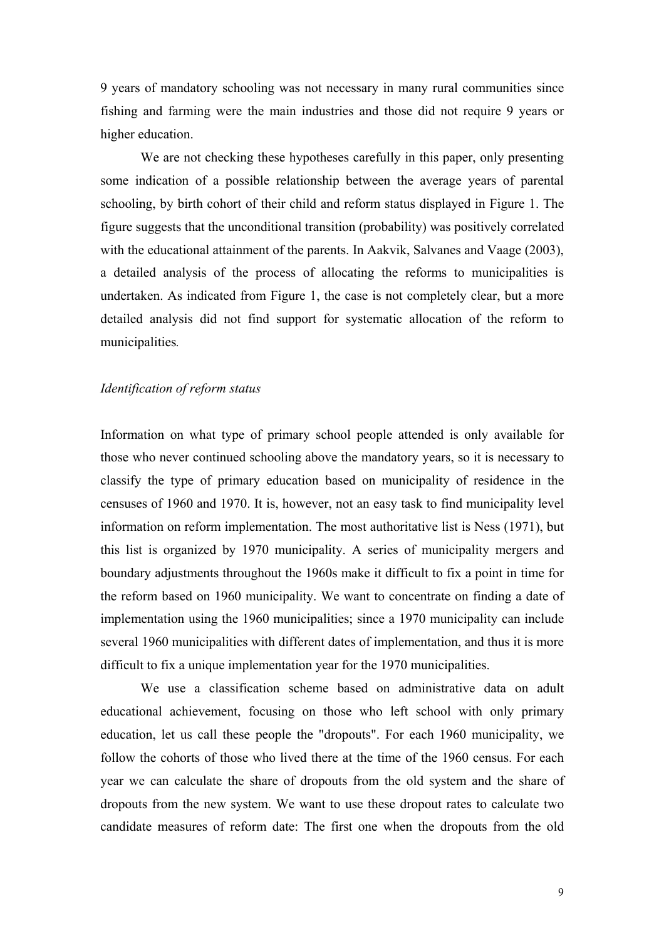9 years of mandatory schooling was not necessary in many rural communities since fishing and farming were the main industries and those did not require 9 years or higher education.

We are not checking these hypotheses carefully in this paper, only presenting some indication of a possible relationship between the average years of parental schooling, by birth cohort of their child and reform status displayed in Figure 1. The figure suggests that the unconditional transition (probability) was positively correlated with the educational attainment of the parents. In Aakvik, Salvanes and Vaage (2003), a detailed analysis of the process of allocating the reforms to municipalities is undertaken. As indicated from Figure 1, the case is not completely clear, but a more detailed analysis did not find support for systematic allocation of the reform to municipalities*.* 

## *Identification of reform status*

Information on what type of primary school people attended is only available for those who never continued schooling above the mandatory years, so it is necessary to classify the type of primary education based on municipality of residence in the censuses of 1960 and 1970. It is, however, not an easy task to find municipality level information on reform implementation. The most authoritative list is Ness (1971), but this list is organized by 1970 municipality. A series of municipality mergers and boundary adjustments throughout the 1960s make it difficult to fix a point in time for the reform based on 1960 municipality. We want to concentrate on finding a date of implementation using the 1960 municipalities; since a 1970 municipality can include several 1960 municipalities with different dates of implementation, and thus it is more difficult to fix a unique implementation year for the 1970 municipalities.

We use a classification scheme based on administrative data on adult educational achievement, focusing on those who left school with only primary education, let us call these people the "dropouts". For each 1960 municipality, we follow the cohorts of those who lived there at the time of the 1960 census. For each year we can calculate the share of dropouts from the old system and the share of dropouts from the new system. We want to use these dropout rates to calculate two candidate measures of reform date: The first one when the dropouts from the old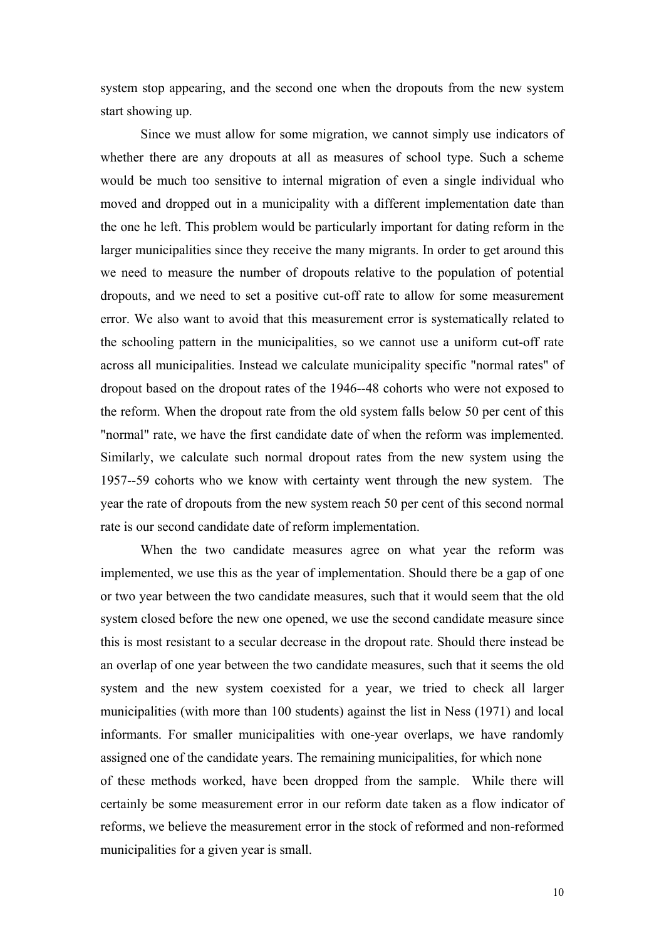system stop appearing, and the second one when the dropouts from the new system start showing up.

Since we must allow for some migration, we cannot simply use indicators of whether there are any dropouts at all as measures of school type. Such a scheme would be much too sensitive to internal migration of even a single individual who moved and dropped out in a municipality with a different implementation date than the one he left. This problem would be particularly important for dating reform in the larger municipalities since they receive the many migrants. In order to get around this we need to measure the number of dropouts relative to the population of potential dropouts, and we need to set a positive cut-off rate to allow for some measurement error. We also want to avoid that this measurement error is systematically related to the schooling pattern in the municipalities, so we cannot use a uniform cut-off rate across all municipalities. Instead we calculate municipality specific "normal rates" of dropout based on the dropout rates of the 1946--48 cohorts who were not exposed to the reform. When the dropout rate from the old system falls below 50 per cent of this "normal" rate, we have the first candidate date of when the reform was implemented. Similarly, we calculate such normal dropout rates from the new system using the 1957--59 cohorts who we know with certainty went through the new system. The year the rate of dropouts from the new system reach 50 per cent of this second normal rate is our second candidate date of reform implementation.

When the two candidate measures agree on what year the reform was implemented, we use this as the year of implementation. Should there be a gap of one or two year between the two candidate measures, such that it would seem that the old system closed before the new one opened, we use the second candidate measure since this is most resistant to a secular decrease in the dropout rate. Should there instead be an overlap of one year between the two candidate measures, such that it seems the old system and the new system coexisted for a year, we tried to check all larger municipalities (with more than 100 students) against the list in Ness (1971) and local informants. For smaller municipalities with one-year overlaps, we have randomly assigned one of the candidate years. The remaining municipalities, for which none of these methods worked, have been dropped from the sample. While there will certainly be some measurement error in our reform date taken as a flow indicator of reforms, we believe the measurement error in the stock of reformed and non-reformed municipalities for a given year is small.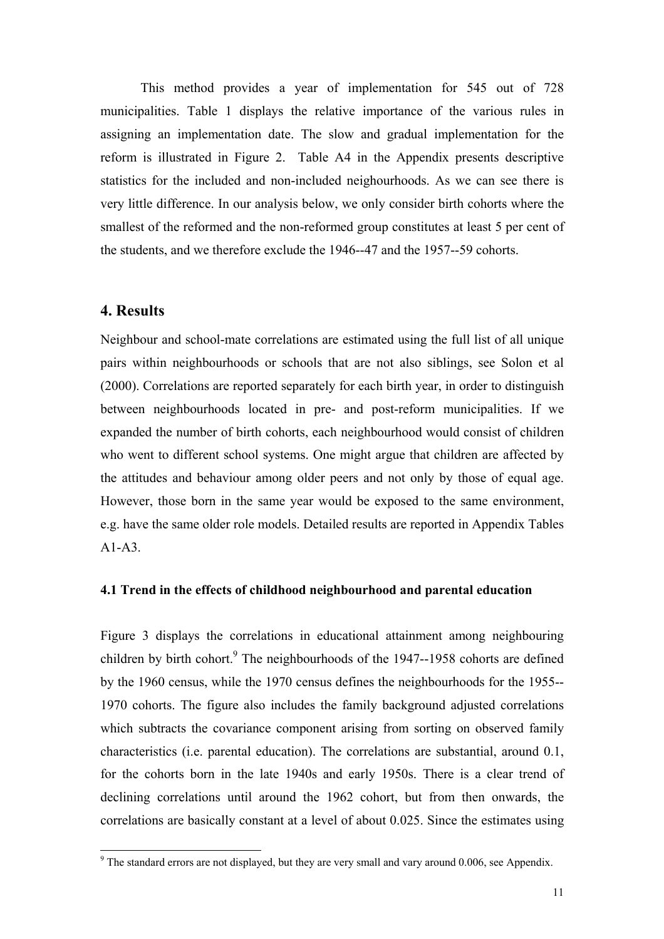This method provides a year of implementation for 545 out of 728 municipalities. Table 1 displays the relative importance of the various rules in assigning an implementation date. The slow and gradual implementation for the reform is illustrated in Figure 2. Table A4 in the Appendix presents descriptive statistics for the included and non-included neighourhoods. As we can see there is very little difference. In our analysis below, we only consider birth cohorts where the smallest of the reformed and the non-reformed group constitutes at least 5 per cent of the students, and we therefore exclude the 1946--47 and the 1957--59 cohorts.

# **4. Results**

l

Neighbour and school-mate correlations are estimated using the full list of all unique pairs within neighbourhoods or schools that are not also siblings, see Solon et al (2000). Correlations are reported separately for each birth year, in order to distinguish between neighbourhoods located in pre- and post-reform municipalities. If we expanded the number of birth cohorts, each neighbourhood would consist of children who went to different school systems. One might argue that children are affected by the attitudes and behaviour among older peers and not only by those of equal age. However, those born in the same year would be exposed to the same environment, e.g. have the same older role models. Detailed results are reported in Appendix Tables  $A1-A3$ 

## **4.1 Trend in the effects of childhood neighbourhood and parental education**

Figure 3 displays the correlations in educational attainment among neighbouring children by birth cohort.<sup>9</sup> The neighbourhoods of the 1947--1958 cohorts are defined by the 1960 census, while the 1970 census defines the neighbourhoods for the 1955-- 1970 cohorts. The figure also includes the family background adjusted correlations which subtracts the covariance component arising from sorting on observed family characteristics (i.e. parental education). The correlations are substantial, around 0.1, for the cohorts born in the late 1940s and early 1950s. There is a clear trend of declining correlations until around the 1962 cohort, but from then onwards, the correlations are basically constant at a level of about 0.025. Since the estimates using

 $9^9$  The standard errors are not displayed, but they are very small and vary around 0.006, see Appendix.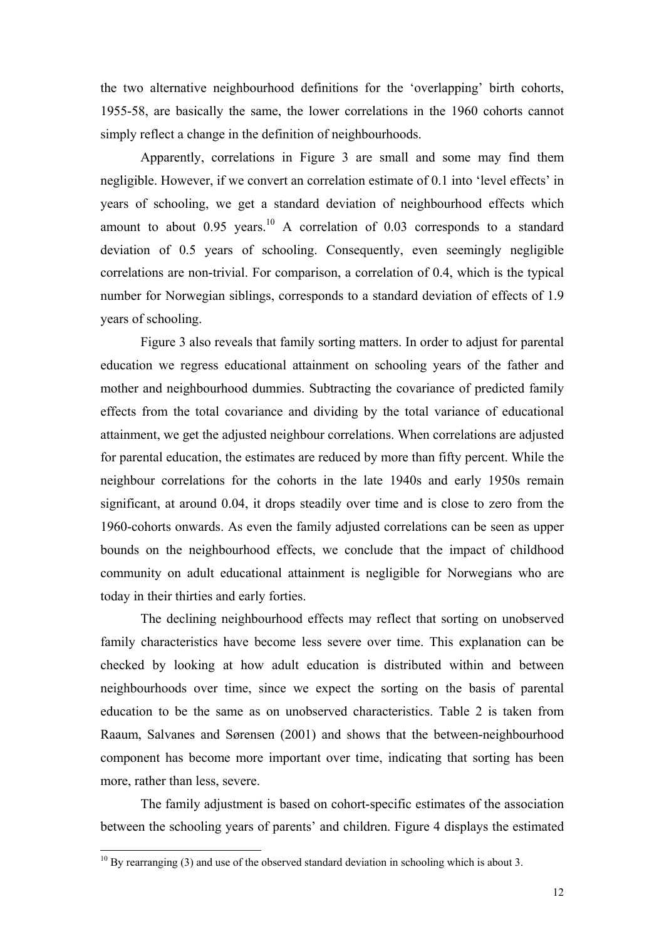the two alternative neighbourhood definitions for the 'overlapping' birth cohorts, 1955-58, are basically the same, the lower correlations in the 1960 cohorts cannot simply reflect a change in the definition of neighbourhoods.

Apparently, correlations in Figure 3 are small and some may find them negligible. However, if we convert an correlation estimate of 0.1 into 'level effects' in years of schooling, we get a standard deviation of neighbourhood effects which amount to about  $0.95$  years.<sup>10</sup> A correlation of  $0.03$  corresponds to a standard deviation of 0.5 years of schooling. Consequently, even seemingly negligible correlations are non-trivial. For comparison, a correlation of 0.4, which is the typical number for Norwegian siblings, corresponds to a standard deviation of effects of 1.9 years of schooling.

Figure 3 also reveals that family sorting matters. In order to adjust for parental education we regress educational attainment on schooling years of the father and mother and neighbourhood dummies. Subtracting the covariance of predicted family effects from the total covariance and dividing by the total variance of educational attainment, we get the adjusted neighbour correlations. When correlations are adjusted for parental education, the estimates are reduced by more than fifty percent. While the neighbour correlations for the cohorts in the late 1940s and early 1950s remain significant, at around 0.04, it drops steadily over time and is close to zero from the 1960-cohorts onwards. As even the family adjusted correlations can be seen as upper bounds on the neighbourhood effects, we conclude that the impact of childhood community on adult educational attainment is negligible for Norwegians who are today in their thirties and early forties.

The declining neighbourhood effects may reflect that sorting on unobserved family characteristics have become less severe over time. This explanation can be checked by looking at how adult education is distributed within and between neighbourhoods over time, since we expect the sorting on the basis of parental education to be the same as on unobserved characteristics. Table 2 is taken from Raaum, Salvanes and Sørensen (2001) and shows that the between-neighbourhood component has become more important over time, indicating that sorting has been more, rather than less, severe.

 The family adjustment is based on cohort-specific estimates of the association between the schooling years of parents' and children. Figure 4 displays the estimated

l

 $10$  By rearranging (3) and use of the observed standard deviation in schooling which is about 3.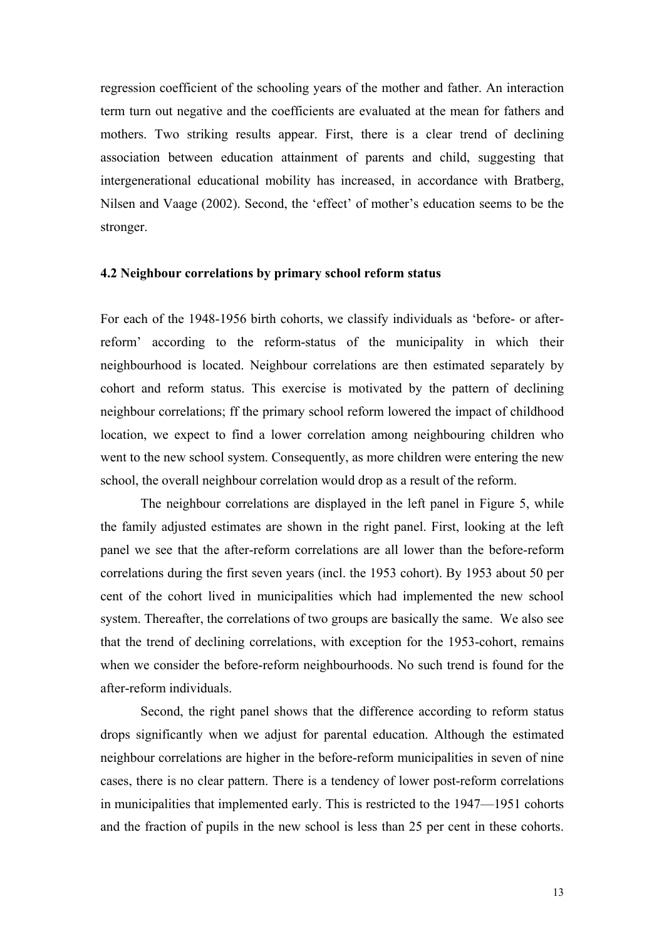regression coefficient of the schooling years of the mother and father. An interaction term turn out negative and the coefficients are evaluated at the mean for fathers and mothers. Two striking results appear. First, there is a clear trend of declining association between education attainment of parents and child, suggesting that intergenerational educational mobility has increased, in accordance with Bratberg, Nilsen and Vaage (2002). Second, the 'effect' of mother's education seems to be the stronger.

#### **4.2 Neighbour correlations by primary school reform status**

For each of the 1948-1956 birth cohorts, we classify individuals as 'before- or afterreform' according to the reform-status of the municipality in which their neighbourhood is located. Neighbour correlations are then estimated separately by cohort and reform status. This exercise is motivated by the pattern of declining neighbour correlations; ff the primary school reform lowered the impact of childhood location, we expect to find a lower correlation among neighbouring children who went to the new school system. Consequently, as more children were entering the new school, the overall neighbour correlation would drop as a result of the reform.

The neighbour correlations are displayed in the left panel in Figure 5, while the family adjusted estimates are shown in the right panel. First, looking at the left panel we see that the after-reform correlations are all lower than the before-reform correlations during the first seven years (incl. the 1953 cohort). By 1953 about 50 per cent of the cohort lived in municipalities which had implemented the new school system. Thereafter, the correlations of two groups are basically the same. We also see that the trend of declining correlations, with exception for the 1953-cohort, remains when we consider the before-reform neighbourhoods. No such trend is found for the after-reform individuals.

Second, the right panel shows that the difference according to reform status drops significantly when we adjust for parental education. Although the estimated neighbour correlations are higher in the before-reform municipalities in seven of nine cases, there is no clear pattern. There is a tendency of lower post-reform correlations in municipalities that implemented early. This is restricted to the 1947—1951 cohorts and the fraction of pupils in the new school is less than 25 per cent in these cohorts.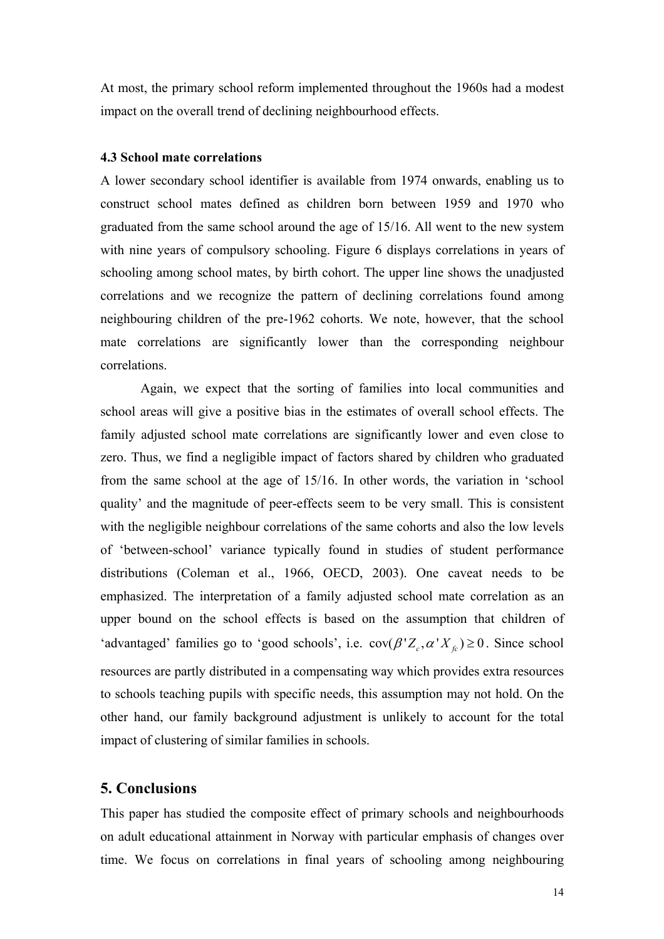At most, the primary school reform implemented throughout the 1960s had a modest impact on the overall trend of declining neighbourhood effects.

#### **4.3 School mate correlations**

A lower secondary school identifier is available from 1974 onwards, enabling us to construct school mates defined as children born between 1959 and 1970 who graduated from the same school around the age of 15/16. All went to the new system with nine years of compulsory schooling. Figure 6 displays correlations in years of schooling among school mates, by birth cohort. The upper line shows the unadjusted correlations and we recognize the pattern of declining correlations found among neighbouring children of the pre-1962 cohorts. We note, however, that the school mate correlations are significantly lower than the corresponding neighbour correlations.

Again, we expect that the sorting of families into local communities and school areas will give a positive bias in the estimates of overall school effects. The family adjusted school mate correlations are significantly lower and even close to zero. Thus, we find a negligible impact of factors shared by children who graduated from the same school at the age of 15/16. In other words, the variation in 'school quality' and the magnitude of peer-effects seem to be very small. This is consistent with the negligible neighbour correlations of the same cohorts and also the low levels of 'between-school' variance typically found in studies of student performance distributions (Coleman et al., 1966, OECD, 2003). One caveat needs to be emphasized. The interpretation of a family adjusted school mate correlation as an upper bound on the school effects is based on the assumption that children of 'advantaged' families go to 'good schools', i.e.  $cov(\beta' Z_c, \alpha' X_c) \ge 0$ . Since school resources are partly distributed in a compensating way which provides extra resources to schools teaching pupils with specific needs, this assumption may not hold. On the other hand, our family background adjustment is unlikely to account for the total impact of clustering of similar families in schools.

# **5. Conclusions**

This paper has studied the composite effect of primary schools and neighbourhoods on adult educational attainment in Norway with particular emphasis of changes over time. We focus on correlations in final years of schooling among neighbouring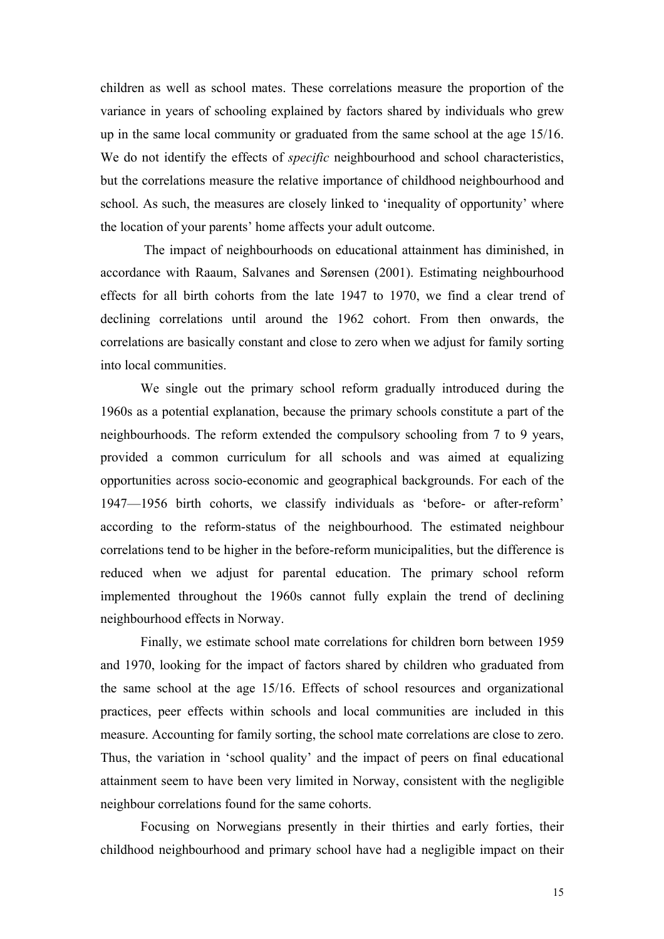children as well as school mates. These correlations measure the proportion of the variance in years of schooling explained by factors shared by individuals who grew up in the same local community or graduated from the same school at the age 15/16. We do not identify the effects of *specific* neighbourhood and school characteristics, but the correlations measure the relative importance of childhood neighbourhood and school. As such, the measures are closely linked to 'inequality of opportunity' where the location of your parents' home affects your adult outcome.

 The impact of neighbourhoods on educational attainment has diminished, in accordance with Raaum, Salvanes and Sørensen (2001). Estimating neighbourhood effects for all birth cohorts from the late 1947 to 1970, we find a clear trend of declining correlations until around the 1962 cohort. From then onwards, the correlations are basically constant and close to zero when we adjust for family sorting into local communities.

We single out the primary school reform gradually introduced during the 1960s as a potential explanation, because the primary schools constitute a part of the neighbourhoods. The reform extended the compulsory schooling from 7 to 9 years, provided a common curriculum for all schools and was aimed at equalizing opportunities across socio-economic and geographical backgrounds. For each of the 1947—1956 birth cohorts, we classify individuals as 'before- or after-reform' according to the reform-status of the neighbourhood. The estimated neighbour correlations tend to be higher in the before-reform municipalities, but the difference is reduced when we adjust for parental education. The primary school reform implemented throughout the 1960s cannot fully explain the trend of declining neighbourhood effects in Norway.

Finally, we estimate school mate correlations for children born between 1959 and 1970, looking for the impact of factors shared by children who graduated from the same school at the age 15/16. Effects of school resources and organizational practices, peer effects within schools and local communities are included in this measure. Accounting for family sorting, the school mate correlations are close to zero. Thus, the variation in 'school quality' and the impact of peers on final educational attainment seem to have been very limited in Norway, consistent with the negligible neighbour correlations found for the same cohorts.

Focusing on Norwegians presently in their thirties and early forties, their childhood neighbourhood and primary school have had a negligible impact on their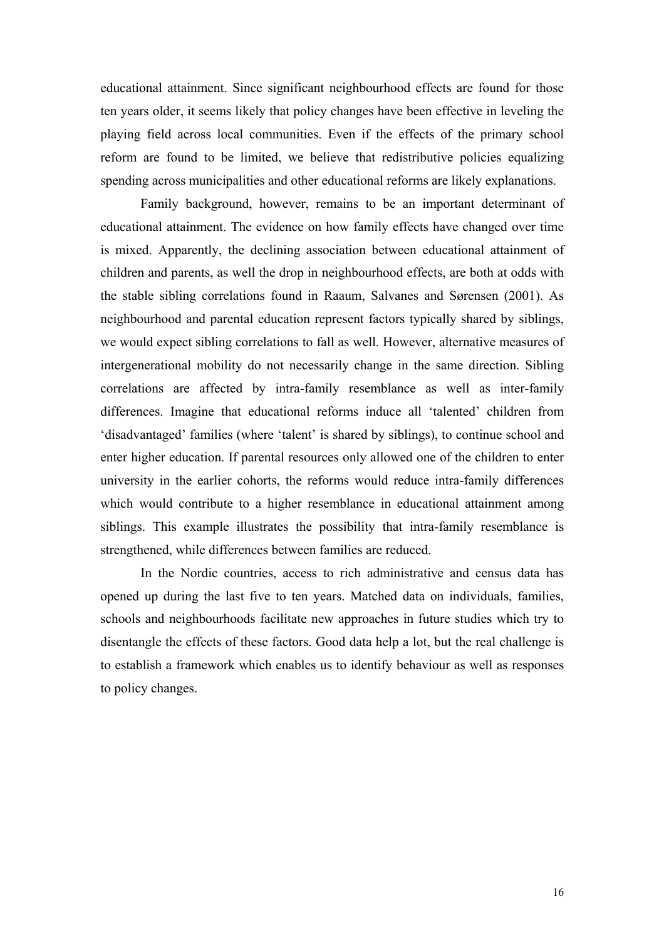educational attainment. Since significant neighbourhood effects are found for those ten years older, it seems likely that policy changes have been effective in leveling the playing field across local communities. Even if the effects of the primary school reform are found to be limited, we believe that redistributive policies equalizing spending across municipalities and other educational reforms are likely explanations.

Family background, however, remains to be an important determinant of educational attainment. The evidence on how family effects have changed over time is mixed. Apparently, the declining association between educational attainment of children and parents, as well the drop in neighbourhood effects, are both at odds with the stable sibling correlations found in Raaum, Salvanes and Sørensen (2001). As neighbourhood and parental education represent factors typically shared by siblings, we would expect sibling correlations to fall as well. However, alternative measures of intergenerational mobility do not necessarily change in the same direction. Sibling correlations are affected by intra-family resemblance as well as inter-family differences. Imagine that educational reforms induce all 'talented' children from 'disadvantaged' families (where 'talent' is shared by siblings), to continue school and enter higher education. If parental resources only allowed one of the children to enter university in the earlier cohorts, the reforms would reduce intra-family differences which would contribute to a higher resemblance in educational attainment among siblings. This example illustrates the possibility that intra-family resemblance is strengthened, while differences between families are reduced.

In the Nordic countries, access to rich administrative and census data has opened up during the last five to ten years. Matched data on individuals, families, schools and neighbourhoods facilitate new approaches in future studies which try to disentangle the effects of these factors. Good data help a lot, but the real challenge is to establish a framework which enables us to identify behaviour as well as responses to policy changes.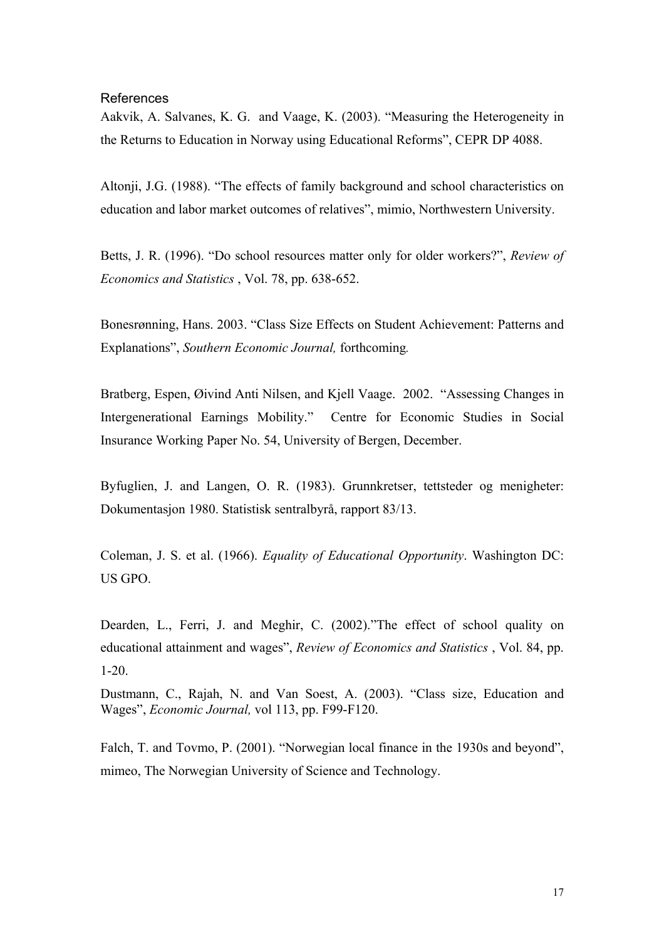## References

Aakvik, A. Salvanes, K. G. and Vaage, K. (2003). "Measuring the Heterogeneity in the Returns to Education in Norway using Educational Reforms", CEPR DP 4088.

Altonji, J.G. (1988). "The effects of family background and school characteristics on education and labor market outcomes of relatives", mimio, Northwestern University.

Betts, J. R. (1996). "Do school resources matter only for older workers?", *Review of Economics and Statistics* , Vol. 78, pp. 638-652.

Bonesrønning, Hans. 2003. "Class Size Effects on Student Achievement: Patterns and Explanations", *Southern Economic Journal,* forthcoming*.* 

Bratberg, Espen, Øivind Anti Nilsen, and Kjell Vaage. 2002. "Assessing Changes in Intergenerational Earnings Mobility." Centre for Economic Studies in Social Insurance Working Paper No. 54, University of Bergen, December.

Byfuglien, J. and Langen, O. R. (1983). Grunnkretser, tettsteder og menigheter: Dokumentasjon 1980. Statistisk sentralbyrå, rapport 83/13.

Coleman, J. S. et al. (1966). *Equality of Educational Opportunity*. Washington DC: US GPO.

Dearden, L., Ferri, J. and Meghir, C. (2002)."The effect of school quality on educational attainment and wages", *Review of Economics and Statistics* , Vol. 84, pp. 1-20.

Dustmann, C., Rajah, N. and Van Soest, A. (2003). "Class size, Education and Wages", *Economic Journal,* vol 113, pp. F99-F120.

Falch, T. and Tovmo, P. (2001). "Norwegian local finance in the 1930s and beyond", mimeo, The Norwegian University of Science and Technology.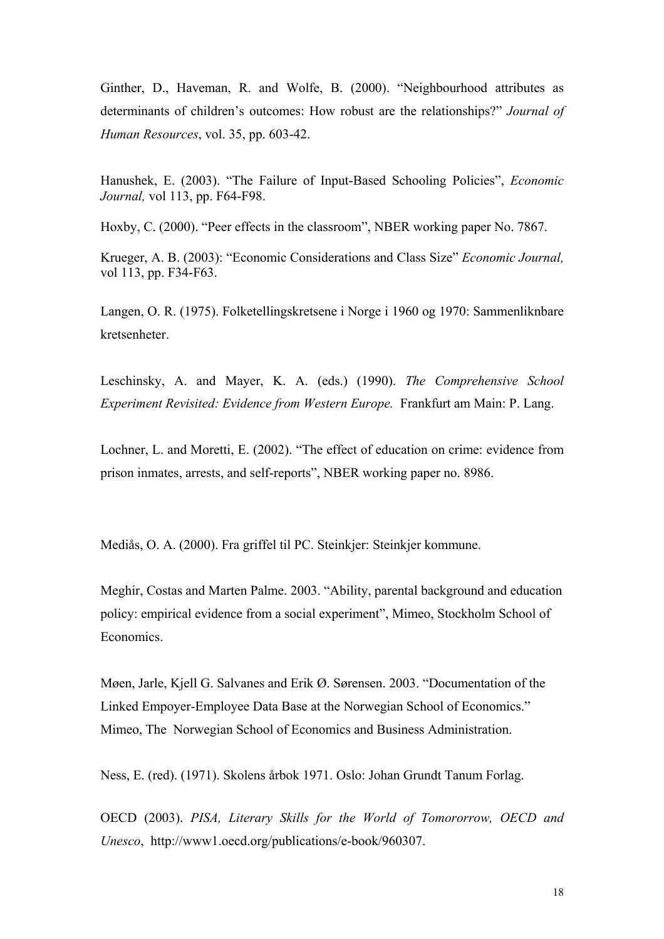Ginther, D., Haveman, R. and Wolfe, B. (2000). "Neighbourhood attributes as determinants of children's outcomes: How robust are the relationships?" *Journal of Human Resources*, vol. 35, pp. 603-42.

Hanushek, E. (2003). "The Failure of Input-Based Schooling Policies", *Economic Journal,* vol 113, pp. F64-F98.

Hoxby, C. (2000). "Peer effects in the classroom", NBER working paper No. 7867.

Krueger, A. B. (2003): "Economic Considerations and Class Size" *Economic Journal,* vol 113, pp. F34-F63.

Langen, O. R. (1975). Folketellingskretsene i Norge i 1960 og 1970: Sammenliknbare kretsenheter.

Leschinsky, A. and Mayer, K. A. (eds.) (1990). *The Comprehensive School Experiment Revisited: Evidence from Western Europe.* Frankfurt am Main: P. Lang.

Lochner, L. and Moretti, E. (2002). "The effect of education on crime: evidence from prison inmates, arrests, and self-reports", NBER working paper no. 8986.

Mediås, O. A. (2000). Fra griffel til PC. Steinkjer: Steinkjer kommune.

Meghir, Costas and Marten Palme. 2003. "Ability, parental background and education policy: empirical evidence from a social experiment", Mimeo, Stockholm School of Economics.

Møen, Jarle, Kjell G. Salvanes and Erik Ø. Sørensen. 2003. "Documentation of the Linked Empoyer-Employee Data Base at the Norwegian School of Economics." Mimeo, The Norwegian School of Economics and Business Administration.

Ness, E. (red). (1971). Skolens årbok 1971. Oslo: Johan Grundt Tanum Forlag.

OECD (2003). *PISA, Literary Skills for the World of Tomororrow, OECD and Unesco*, http://www1.oecd.org/publications/e-book/960307.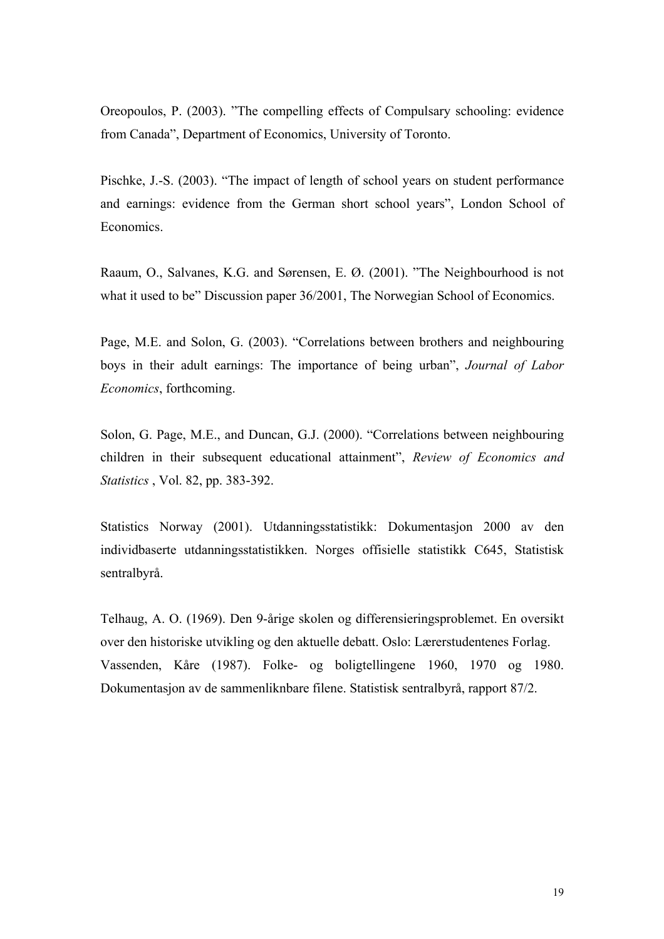Oreopoulos, P. (2003). "The compelling effects of Compulsary schooling: evidence from Canada", Department of Economics, University of Toronto.

Pischke, J.-S. (2003). "The impact of length of school years on student performance and earnings: evidence from the German short school years", London School of Economics.

Raaum, O., Salvanes, K.G. and Sørensen, E. Ø. (2001). "The Neighbourhood is not what it used to be" Discussion paper 36/2001, The Norwegian School of Economics.

Page, M.E. and Solon, G. (2003). "Correlations between brothers and neighbouring boys in their adult earnings: The importance of being urban", *Journal of Labor Economics*, forthcoming.

Solon, G. Page, M.E., and Duncan, G.J. (2000). "Correlations between neighbouring children in their subsequent educational attainment", *Review of Economics and Statistics* , Vol. 82, pp. 383-392.

Statistics Norway (2001). Utdanningsstatistikk: Dokumentasjon 2000 av den individbaserte utdanningsstatistikken. Norges offisielle statistikk C645, Statistisk sentralbyrå.

Telhaug, A. O. (1969). Den 9-årige skolen og differensieringsproblemet. En oversikt over den historiske utvikling og den aktuelle debatt. Oslo: Lærerstudentenes Forlag. Vassenden, Kåre (1987). Folke- og boligtellingene 1960, 1970 og 1980. Dokumentasjon av de sammenliknbare filene. Statistisk sentralbyrå, rapport 87/2.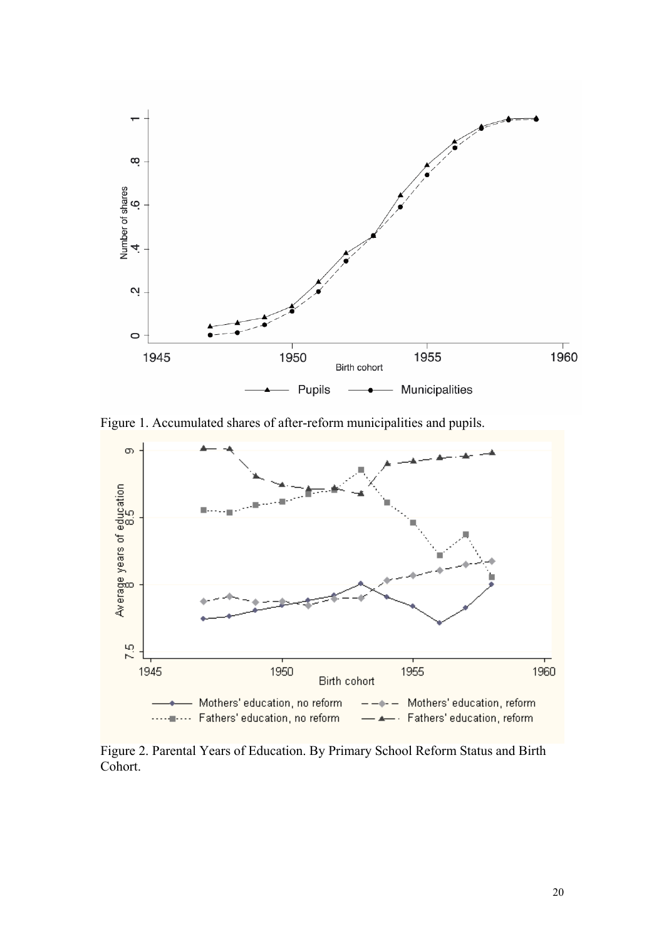

Figure 1. Accumulated shares of after-reform municipalities and pupils.



Figure 2. Parental Years of Education. By Primary School Reform Status and Birth Cohort.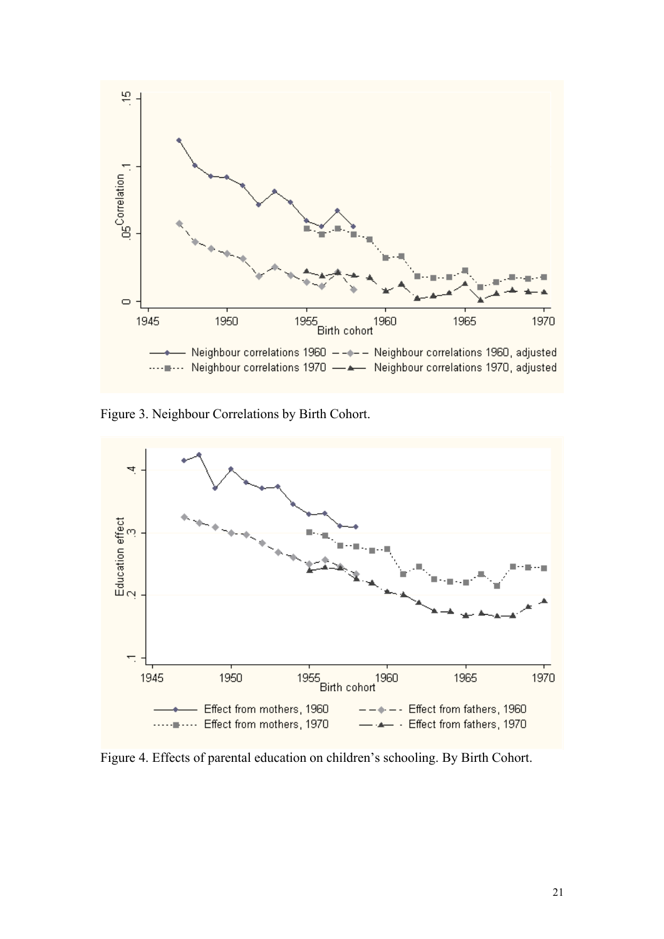

Figure 3. Neighbour Correlations by Birth Cohort.



Figure 4. Effects of parental education on children's schooling. By Birth Cohort.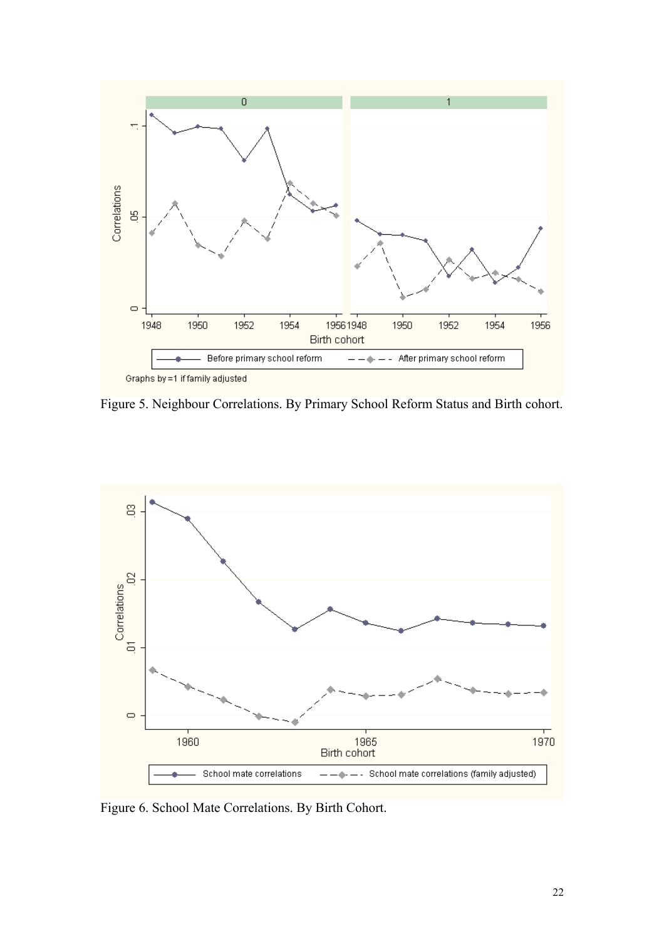

Figure 5. Neighbour Correlations. By Primary School Reform Status and Birth cohort.



Figure 6. School Mate Correlations. By Birth Cohort.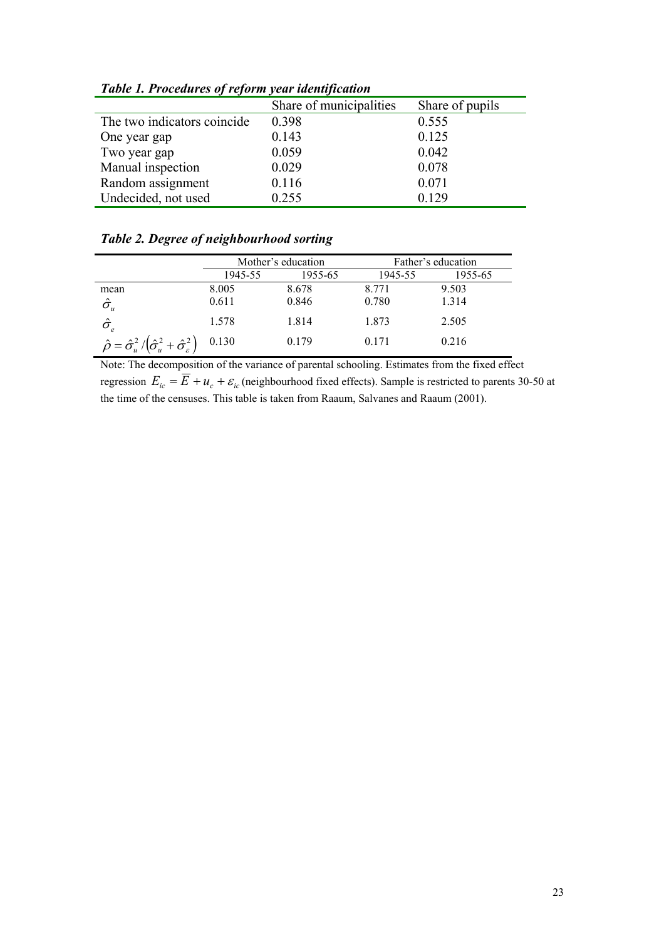|                             | Share of municipalities | Share of pupils |
|-----------------------------|-------------------------|-----------------|
| The two indicators coincide | 0.398                   | 0.555           |
| One year gap                | 0.143                   | 0.125           |
| Two year gap                | 0.059                   | 0.042           |
| Manual inspection           | 0.029                   | 0.078           |
| Random assignment           | 0.116                   | 0.071           |
| Undecided, not used         | 0.255                   | 0.129           |

*Table 1. Procedures of reform year identification* 

# *Table 2. Degree of neighbourhood sorting*

|                                                                                    | Mother's education |         | Father's education |         |
|------------------------------------------------------------------------------------|--------------------|---------|--------------------|---------|
|                                                                                    | 1945-55            | 1955-65 | 1945-55            | 1955-65 |
| mean                                                                               | 8.005              | 8.678   | 8.771              | 9.503   |
| $\hat{\sigma}_{\scriptscriptstyle u}$                                              | 0.611              | 0.846   | 0.780              | 1.314   |
| $\hat{\sigma_{_{e}}}$                                                              | 1.578              | 1.814   | 1.873              | 2.505   |
| $\hat{\rho} = \hat{\sigma}_u^2 / \left(\hat{\sigma}_u^2 + \hat{\sigma}_s^2\right)$ | 0.130              | 0.179   | 0.171              | 0.216   |

Note: The decomposition of the variance of parental schooling. Estimates from the fixed effect regression  $E_{ic} = \overline{E} + u_c + \varepsilon_{ic}$  (neighbourhood fixed effects). Sample is restricted to parents 30-50 at the time of the censuses. This table is taken from Raaum, Salvanes and Raaum (2001).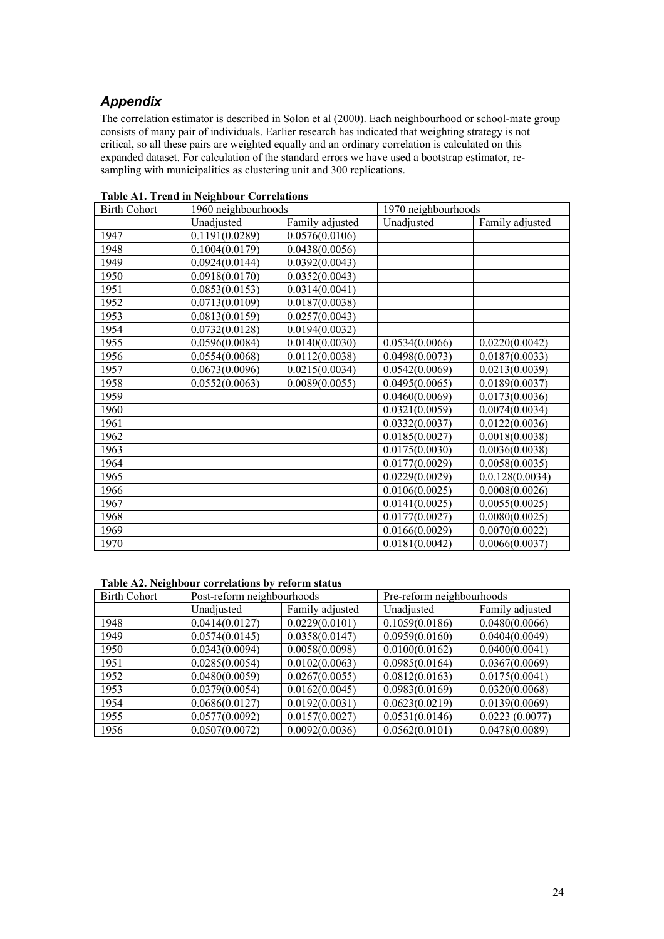# *Appendix*

The correlation estimator is described in Solon et al (2000). Each neighbourhood or school-mate group consists of many pair of individuals. Earlier research has indicated that weighting strategy is not critical, so all these pairs are weighted equally and an ordinary correlation is calculated on this expanded dataset. For calculation of the standard errors we have used a bootstrap estimator, resampling with municipalities as clustering unit and 300 replications.

| <b>Birth Cohort</b> | 1960 neighbourhoods |                 | 1970 neighbourhoods |                 |
|---------------------|---------------------|-----------------|---------------------|-----------------|
|                     | Unadjusted          | Family adjusted | Unadjusted          | Family adjusted |
| 1947                | 0.1191(0.0289)      | 0.0576(0.0106)  |                     |                 |
| 1948                | 0.1004(0.0179)      | 0.0438(0.0056)  |                     |                 |
| 1949                | 0.0924(0.0144)      | 0.0392(0.0043)  |                     |                 |
| 1950                | 0.0918(0.0170)      | 0.0352(0.0043)  |                     |                 |
| 1951                | 0.0853(0.0153)      | 0.0314(0.0041)  |                     |                 |
| 1952                | 0.0713(0.0109)      | 0.0187(0.0038)  |                     |                 |
| 1953                | 0.0813(0.0159)      | 0.0257(0.0043)  |                     |                 |
| 1954                | 0.0732(0.0128)      | 0.0194(0.0032)  |                     |                 |
| 1955                | 0.0596(0.0084)      | 0.0140(0.0030)  | 0.0534(0.0066)      | 0.0220(0.0042)  |
| 1956                | 0.0554(0.0068)      | 0.0112(0.0038)  | 0.0498(0.0073)      | 0.0187(0.0033)  |
| 1957                | 0.0673(0.0096)      | 0.0215(0.0034)  | 0.0542(0.0069)      | 0.0213(0.0039)  |
| 1958                | 0.0552(0.0063)      | 0.0089(0.0055)  | 0.0495(0.0065)      | 0.0189(0.0037)  |
| 1959                |                     |                 | 0.0460(0.0069)      | 0.0173(0.0036)  |
| 1960                |                     |                 | 0.0321(0.0059)      | 0.0074(0.0034)  |
| 1961                |                     |                 | 0.0332(0.0037)      | 0.0122(0.0036)  |
| 1962                |                     |                 | 0.0185(0.0027)      | 0.0018(0.0038)  |
| 1963                |                     |                 | 0.0175(0.0030)      | 0.0036(0.0038)  |
| 1964                |                     |                 | 0.0177(0.0029)      | 0.0058(0.0035)  |
| 1965                |                     |                 | 0.0229(0.0029)      | 0.0.128(0.0034) |
| 1966                |                     |                 | 0.0106(0.0025)      | 0.0008(0.0026)  |
| 1967                |                     |                 | 0.0141(0.0025)      | 0.0055(0.0025)  |
| 1968                |                     |                 | 0.0177(0.0027)      | 0.0080(0.0025)  |
| 1969                |                     |                 | 0.0166(0.0029)      | 0.0070(0.0022)  |
| 1970                |                     |                 | 0.0181(0.0042)      | 0.0066(0.0037)  |

**Table A1. Trend in Neighbour Correlations** 

#### **Table A2. Neighbour correlations by reform status**

| <b>Birth Cohort</b> | Post-reform neighbourhoods |                 | Pre-reform neighbourhoods |                 |
|---------------------|----------------------------|-----------------|---------------------------|-----------------|
|                     | Unadjusted                 | Family adjusted | Unadjusted                | Family adjusted |
| 1948                | 0.0414(0.0127)             | 0.0229(0.0101)  | 0.1059(0.0186)            | 0.0480(0.0066)  |
| 1949                | 0.0574(0.0145)             | 0.0358(0.0147)  | 0.0959(0.0160)            | 0.0404(0.0049)  |
| 1950                | 0.0343(0.0094)             | 0.0058(0.0098)  | 0.0100(0.0162)            | 0.0400(0.0041)  |
| 1951                | 0.0285(0.0054)             | 0.0102(0.0063)  | 0.0985(0.0164)            | 0.0367(0.0069)  |
| 1952                | 0.0480(0.0059)             | 0.0267(0.0055)  | 0.0812(0.0163)            | 0.0175(0.0041)  |
| 1953                | 0.0379(0.0054)             | 0.0162(0.0045)  | 0.0983(0.0169)            | 0.0320(0.0068)  |
| 1954                | 0.0686(0.0127)             | 0.0192(0.0031)  | 0.0623(0.0219)            | 0.0139(0.0069)  |
| 1955                | 0.0577(0.0092)             | 0.0157(0.0027)  | 0.0531(0.0146)            | 0.0223(0.0077)  |
| 1956                | 0.0507(0.0072)             | 0.0092(0.0036)  | 0.0562(0.0101)            | 0.0478(0.0089)  |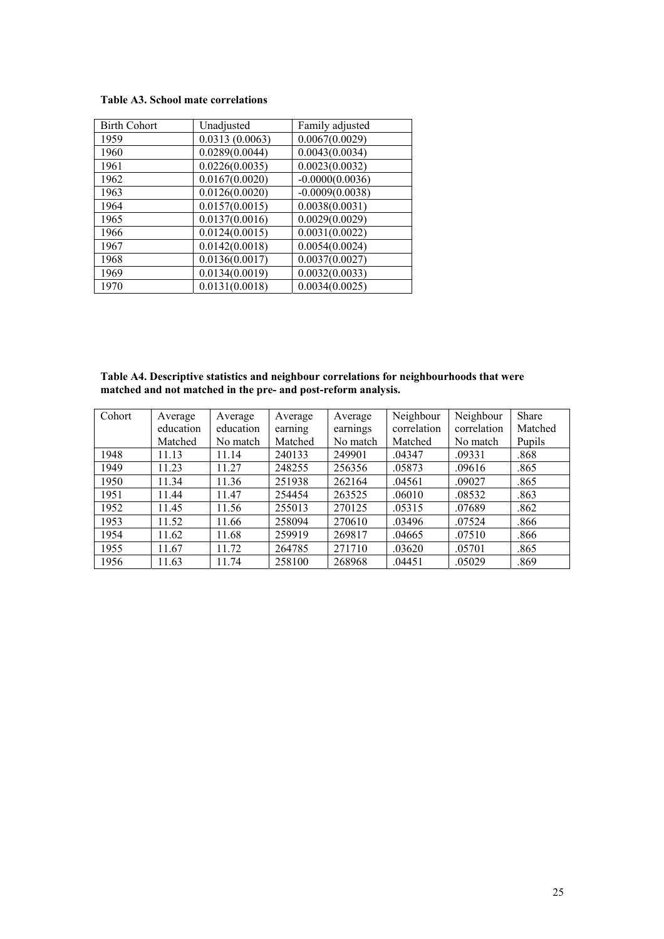#### **Table A3. School mate correlations**

| <b>Birth Cohort</b> | Unadjusted     | Family adjusted   |
|---------------------|----------------|-------------------|
| 1959                | 0.0313(0.0063) | 0.0067(0.0029)    |
| 1960                | 0.0289(0.0044) | 0.0043(0.0034)    |
| 1961                | 0.0226(0.0035) | 0.0023(0.0032)    |
| 1962                | 0.0167(0.0020) | $-0.0000(0.0036)$ |
| 1963                | 0.0126(0.0020) | $-0.0009(0.0038)$ |
| 1964                | 0.0157(0.0015) | 0.0038(0.0031)    |
| 1965                | 0.0137(0.0016) | 0.0029(0.0029)    |
| 1966                | 0.0124(0.0015) | 0.0031(0.0022)    |
| 1967                | 0.0142(0.0018) | 0.0054(0.0024)    |
| 1968                | 0.0136(0.0017) | 0.0037(0.0027)    |
| 1969                | 0.0134(0.0019) | 0.0032(0.0033)    |
| 1970                | 0.0131(0.0018) | 0.0034(0.0025)    |

**Table A4. Descriptive statistics and neighbour correlations for neighbourhoods that were matched and not matched in the pre- and post-reform analysis.** 

| Cohort | Average   | Average   | Average | Average  | Neighbour   | Neighbour   | <b>Share</b> |
|--------|-----------|-----------|---------|----------|-------------|-------------|--------------|
|        | education | education | earning | earnings | correlation | correlation | Matched      |
|        | Matched   | No match  | Matched | No match | Matched     | No match    | Pupils       |
| 1948   | 11.13     | 11.14     | 240133  | 249901   | .04347      | .09331      | .868         |
| 1949   | 11.23     | 11.27     | 248255  | 256356   | .05873      | .09616      | .865         |
| 1950   | 11.34     | 11.36     | 251938  | 262164   | .04561      | .09027      | .865         |
| 1951   | 11.44     | 11.47     | 254454  | 263525   | .06010      | .08532      | .863         |
| 1952   | 11.45     | 11.56     | 255013  | 270125   | .05315      | .07689      | .862         |
| 1953   | 11.52     | 11.66     | 258094  | 270610   | .03496      | .07524      | .866         |
| 1954   | 11.62     | 11.68     | 259919  | 269817   | .04665      | .07510      | .866         |
| 1955   | 11.67     | 11.72     | 264785  | 271710   | .03620      | .05701      | .865         |
| 1956   | 11.63     | 11.74     | 258100  | 268968   | .04451      | .05029      | .869         |